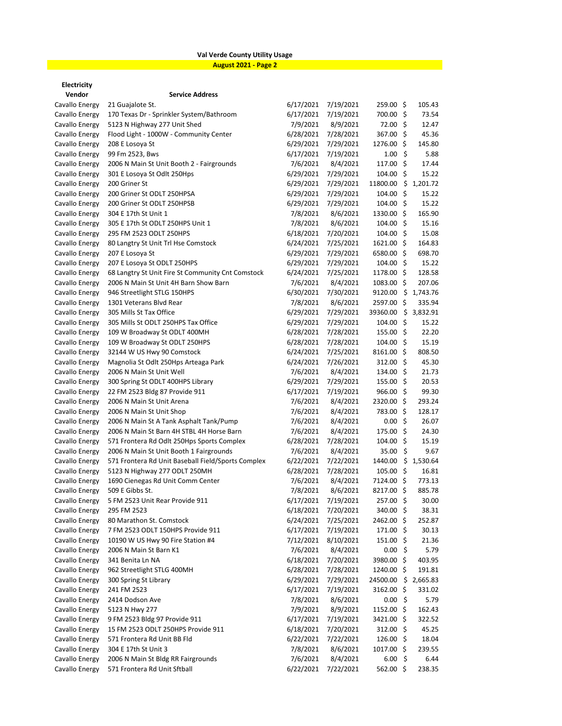## **Val Verde County Utility Usage**

**August 2021 - Page 2**

**Electricity**

| LICCURTU                         |                                                    |           |           |                      |                     |          |
|----------------------------------|----------------------------------------------------|-----------|-----------|----------------------|---------------------|----------|
| Vendor<br>Cavallo Energy         | <b>Service Address</b><br>21 Guajalote St.         | 6/17/2021 | 7/19/2021 | 259.00 \$            |                     | 105.43   |
|                                  | 170 Texas Dr - Sprinkler System/Bathroom           | 6/17/2021 | 7/19/2021 | 700.00 \$            |                     | 73.54    |
| Cavallo Energy                   | 5123 N Highway 277 Unit Shed                       | 7/9/2021  | 8/9/2021  | 72.00 \$             |                     | 12.47    |
| Cavallo Energy<br>Cavallo Energy | Flood Light - 1000W - Community Center             | 6/28/2021 | 7/28/2021 | 367.00 \$            |                     | 45.36    |
|                                  | 208 E Losova St                                    | 6/29/2021 | 7/29/2021 | 1276.00 \$           |                     | 145.80   |
| Cavallo Energy<br>Cavallo Energy | 99 Fm 2523, Bws                                    | 6/17/2021 | 7/19/2021 | 1.00%                |                     | 5.88     |
| Cavallo Energy                   | 2006 N Main St Unit Booth 2 - Fairgrounds          | 7/6/2021  | 8/4/2021  | $117.00 \; \text{S}$ |                     | 17.44    |
| Cavallo Energy                   | 301 E Losoya St Odlt 250Hps                        | 6/29/2021 | 7/29/2021 | 104.00               | \$                  | 15.22    |
| Cavallo Energy                   | 200 Griner St                                      | 6/29/2021 | 7/29/2021 | 11800.00             | \$                  | 1,201.72 |
| Cavallo Energy                   | 200 Griner St ODLT 250HPSA                         | 6/29/2021 | 7/29/2021 | 104.00               | \$                  | 15.22    |
| Cavallo Energy                   | 200 Griner St ODLT 250HPSB                         | 6/29/2021 | 7/29/2021 | 104.00 \$            |                     | 15.22    |
| Cavallo Energy                   | 304 E 17th St Unit 1                               | 7/8/2021  | 8/6/2021  | 1330.00 \$           |                     | 165.90   |
| Cavallo Energy                   | 305 E 17th St ODLT 250HPS Unit 1                   | 7/8/2021  | 8/6/2021  | $104.00 \; \text{S}$ |                     | 15.16    |
| Cavallo Energy                   | 295 FM 2523 ODLT 250HPS                            | 6/18/2021 | 7/20/2021 | 104.00 \$            |                     | 15.08    |
| Cavallo Energy                   | 80 Langtry St Unit Trl Hse Comstock                | 6/24/2021 | 7/25/2021 | 1621.00 \$           |                     | 164.83   |
| Cavallo Energy                   | 207 E Losoya St                                    | 6/29/2021 | 7/29/2021 | 6580.00 \$           |                     | 698.70   |
| Cavallo Energy                   | 207 E Losoya St ODLT 250HPS                        | 6/29/2021 | 7/29/2021 | $104.00 \; \text{S}$ |                     | 15.22    |
| Cavallo Energy                   | 68 Langtry St Unit Fire St Community Cnt Comstock  | 6/24/2021 | 7/25/2021 | 1178.00 \$           |                     | 128.58   |
| Cavallo Energy                   | 2006 N Main St Unit 4H Barn Show Barn              | 7/6/2021  | 8/4/2021  | $1083.00$ \$         |                     | 207.06   |
| Cavallo Energy                   | 946 Streetlight STLG 150HPS                        | 6/30/2021 | 7/30/2021 | 9120.00              | \$                  | 1,743.76 |
| Cavallo Energy                   | 1301 Veterans Blvd Rear                            | 7/8/2021  | 8/6/2021  | 2597.00 \$           |                     | 335.94   |
| Cavallo Energy                   | 305 Mills St Tax Office                            | 6/29/2021 | 7/29/2021 | 39360.00             | \$                  | 3,832.91 |
| Cavallo Energy                   | 305 Mills St ODLT 250HPS Tax Office                | 6/29/2021 | 7/29/2021 | 104.00               | $\ddot{\mathsf{S}}$ | 15.22    |
| Cavallo Energy                   | 109 W Broadway St ODLT 400MH                       | 6/28/2021 | 7/28/2021 | 155.00 \$            |                     | 22.20    |
| Cavallo Energy                   | 109 W Broadway St ODLT 250HPS                      | 6/28/2021 | 7/28/2021 | 104.00 \$            |                     | 15.19    |
| Cavallo Energy                   | 32144 W US Hwy 90 Comstock                         | 6/24/2021 | 7/25/2021 | $8161.00 \; \simeq$  |                     | 808.50   |
| Cavallo Energy                   | Magnolia St Odlt 250Hps Arteaga Park               | 6/24/2021 | 7/26/2021 | 312.00%              |                     | 45.30    |
| Cavallo Energy                   | 2006 N Main St Unit Well                           | 7/6/2021  | 8/4/2021  | 134.00 \$            |                     | 21.73    |
| Cavallo Energy                   | 300 Spring St ODLT 400HPS Library                  | 6/29/2021 | 7/29/2021 | 155.00 \$            |                     | 20.53    |
| Cavallo Energy                   | 22 FM 2523 Bldg 87 Provide 911                     | 6/17/2021 | 7/19/2021 | 966.00 \$            |                     | 99.30    |
| Cavallo Energy                   | 2006 N Main St Unit Arena                          | 7/6/2021  | 8/4/2021  | 2320.00 \$           |                     | 293.24   |
| Cavallo Energy                   | 2006 N Main St Unit Shop                           | 7/6/2021  | 8/4/2021  | 783.00 \$            |                     | 128.17   |
| Cavallo Energy                   | 2006 N Main St A Tank Asphalt Tank/Pump            | 7/6/2021  | 8/4/2021  | 0.00%                |                     | 26.07    |
| Cavallo Energy                   | 2006 N Main St Barn 4H STBL 4H Horse Barn          | 7/6/2021  | 8/4/2021  | 175.00 \$            |                     | 24.30    |
| Cavallo Energy                   | 571 Frontera Rd Odlt 250Hps Sports Complex         | 6/28/2021 | 7/28/2021 | 104.00 \$            |                     | 15.19    |
| Cavallo Energy                   | 2006 N Main St Unit Booth 1 Fairgrounds            | 7/6/2021  | 8/4/2021  | 35.00 \$             |                     | 9.67     |
| Cavallo Energy                   | 571 Frontera Rd Unit Baseball Field/Sports Complex | 6/22/2021 | 7/22/2021 | 1440.00              | \$                  | 1,530.64 |
| Cavallo Energy                   | 5123 N Highway 277 ODLT 250MH                      | 6/28/2021 | 7/28/2021 | 105.00%              |                     | 16.81    |
| Cavallo Energy                   | 1690 Cienegas Rd Unit Comm Center                  | 7/6/2021  | 8/4/2021  | 7124.00 \$           |                     | 773.13   |
| Cavallo Energy                   | 509 E Gibbs St.                                    | 7/8/2021  | 8/6/2021  | 8217.00 \$           |                     | 885.78   |
| Cavallo Energy                   | 5 FM 2523 Unit Rear Provide 911                    | 6/17/2021 | 7/19/2021 | 257.00 \$            |                     | 30.00    |
| Cavallo Energy                   | 295 FM 2523                                        | 6/18/2021 | 7/20/2021 | 340.00 \$            |                     | 38.31    |
| Cavallo Energy                   | 80 Marathon St. Comstock                           | 6/24/2021 | 7/25/2021 | 2462.00 \$           |                     | 252.87   |
| Cavallo Energy                   | 7 FM 2523 ODLT 150HPS Provide 911                  | 6/17/2021 | 7/19/2021 | $171.00$ \$          |                     | 30.13    |
| Cavallo Energy                   | 10190 W US Hwy 90 Fire Station #4                  | 7/12/2021 | 8/10/2021 | 151.00 \$            |                     | 21.36    |
| Cavallo Energy                   | 2006 N Main St Barn K1                             | 7/6/2021  | 8/4/2021  | 0.00%                |                     | 5.79     |
| Cavallo Energy                   | 341 Benita Ln NA                                   | 6/18/2021 | 7/20/2021 | 3980.00 \$           |                     | 403.95   |
| Cavallo Energy                   | 962 Streetlight STLG 400MH                         | 6/28/2021 | 7/28/2021 | 1240.00 \$           |                     | 191.81   |
| Cavallo Energy                   | 300 Spring St Library                              | 6/29/2021 | 7/29/2021 | 24500.00 \$ 2,665.83 |                     |          |
| Cavallo Energy                   | 241 FM 2523                                        | 6/17/2021 | 7/19/2021 | 3162.00 \$           |                     | 331.02   |
| Cavallo Energy                   | 2414 Dodson Ave                                    | 7/8/2021  | 8/6/2021  | 0.00%                |                     | 5.79     |
| Cavallo Energy                   | 5123 N Hwy 277                                     | 7/9/2021  | 8/9/2021  | 1152.00 \$           |                     | 162.43   |
| Cavallo Energy                   | 9 FM 2523 Bldg 97 Provide 911                      | 6/17/2021 | 7/19/2021 | 3421.00 \$           |                     | 322.52   |
| Cavallo Energy                   | 15 FM 2523 ODLT 250HPS Provide 911                 | 6/18/2021 | 7/20/2021 | $312.00$ \$          |                     | 45.25    |
| Cavallo Energy                   | 571 Frontera Rd Unit BB Fld                        | 6/22/2021 | 7/22/2021 | 126.00 \$            |                     | 18.04    |
| Cavallo Energy                   | 304 E 17th St Unit 3                               | 7/8/2021  | 8/6/2021  | 1017.00 \$           |                     | 239.55   |
| Cavallo Energy                   | 2006 N Main St Bldg RR Fairgrounds                 | 7/6/2021  | 8/4/2021  | 6.00%                |                     | 6.44     |
| Cavallo Energy                   | 571 Frontera Rd Unit Sftball                       | 6/22/2021 | 7/22/2021 | 562.00 \$            |                     | 238.35   |
|                                  |                                                    |           |           |                      |                     |          |